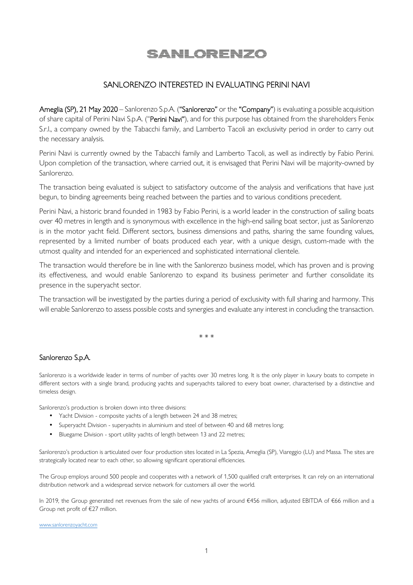## <u>SANLORENZO</u>

## SANLORENZO INTERESTED IN EVALUATING PERINI NAVI

Ameglia (SP), 21 May 2020 – Sanlorenzo S.p.A. ("Sanlorenzo" or the "Company") is evaluating a possible acquisition of share capital of Perini Navi S.p.A. ("Perini Navi"), and for this purpose has obtained from the shareholders Fenix S.r.l., a company owned by the Tabacchi family, and Lamberto Tacoli an exclusivity period in order to carry out the necessary analysis.

Perini Navi is currently owned by the Tabacchi family and Lamberto Tacoli, as well as indirectly by Fabio Perini. Upon completion of the transaction, where carried out, it is envisaged that Perini Navi will be majority-owned by Sanlorenzo.

The transaction being evaluated is subject to satisfactory outcome of the analysis and verifications that have just begun, to binding agreements being reached between the parties and to various conditions precedent.

Perini Navi, a historic brand founded in 1983 by Fabio Perini, is a world leader in the construction of sailing boats over 40 metres in length and is synonymous with excellence in the high-end sailing boat sector, just as Sanlorenzo is in the motor yacht field. Different sectors, business dimensions and paths, sharing the same founding values, represented by a limited number of boats produced each year, with a unique design, custom-made with the utmost quality and intended for an experienced and sophisticated international clientele.

The transaction would therefore be in line with the Sanlorenzo business model, which has proven and is proving its effectiveness, and would enable Sanlorenzo to expand its business perimeter and further consolidate its presence in the superyacht sector.

The transaction will be investigated by the parties during a period of exclusivity with full sharing and harmony. This will enable Sanlorenzo to assess possible costs and synergies and evaluate any interest in concluding the transaction.

\* \* \*

## Sanlorenzo S.p.A.

Sanlorenzo is a worldwide leader in terms of number of yachts over 30 metres long. It is the only player in luxury boats to compete in different sectors with a single brand, producing yachts and superyachts tailored to every boat owner, characterised by a distinctive and timeless design.

Sanlorenzo's production is broken down into three divisions:

- Yacht Division composite yachts of a length between 24 and 38 metres;
- Superyacht Division superyachts in aluminium and steel of between 40 and 68 metres long;
- Bluegame Division sport utility yachts of length between 13 and 22 metres;

Sanlorenzo's production is articulated over four production sites located in La Spezia, Ameglia (SP), Viareggio (LU) and Massa. The sites are strategically located near to each other, so allowing significant operational efficiencies.

The Group employs around 500 people and cooperates with a network of 1,500 qualified craft enterprises. It can rely on an international distribution network and a widespread service network for customers all over the world.

In 2019, the Group generated net revenues from the sale of new yachts of around €456 million, adjusted EBITDA of €66 million and a Group net profit of €27 million.

www.sanlorenzoyacht.com